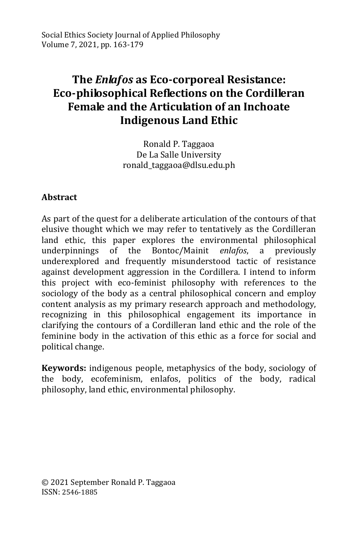# **The** *Enlafos* **as Eco-corporeal Resistance: Eco-philosophical Reflections on the Cordilleran Female and the Articulation of an Inchoate Indigenous Land Ethic**

Ronald P. Taggaoa De La Salle University ronald\_taggaoa@dlsu.edu.ph

### **Abstract**

As part of the quest for a deliberate articulation of the contours of that elusive thought which we may refer to tentatively as the Cordilleran land ethic, this paper explores the environmental philosophical underpinnings of the Bontoc/Mainit *enlafos*, a previously underexplored and frequently misunderstood tactic of resistance against development aggression in the Cordillera. I intend to inform this project with eco-feminist philosophy with references to the sociology of the body as a central philosophical concern and employ content analysis as my primary research approach and methodology, recognizing in this philosophical engagement its importance in clarifying the contours of a Cordilleran land ethic and the role of the feminine body in the activation of this ethic as a force for social and political change.

**Keywords:** indigenous people, metaphysics of the body, sociology of the body, ecofeminism, enlafos, politics of the body, radical philosophy, land ethic, environmental philosophy.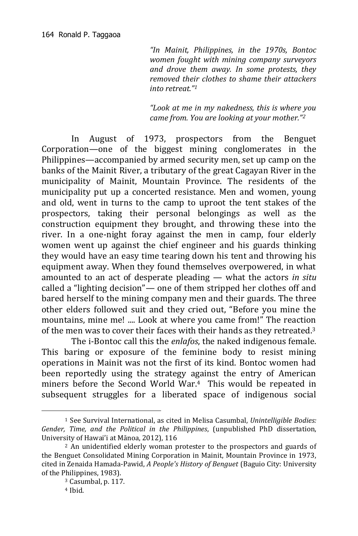*"In Mainit, Philippines, in the 1970s, Bontoc women fought with mining company surveyors and drove them away. In some protests, they removed their clothes to shame their attackers into retreat."<sup>1</sup>*

*"Look at me in my nakedness, this is where you came from. You are looking at your mother."<sup>2</sup>*

In August of 1973, prospectors from the Benguet Corporation—one of the biggest mining conglomerates in the Philippines—accompanied by armed security men, set up camp on the banks of the Mainit River, a tributary of the great Cagayan River in the municipality of Mainit, Mountain Province. The residents of the municipality put up a concerted resistance. Men and women, young and old, went in turns to the camp to uproot the tent stakes of the prospectors, taking their personal belongings as well as the construction equipment they brought, and throwing these into the river. In a one-night foray against the men in camp, four elderly women went up against the chief engineer and his guards thinking they would have an easy time tearing down his tent and throwing his equipment away. When they found themselves overpowered, in what amounted to an act of desperate pleading — what the actors *in situ* called a "lighting decision"— one of them stripped her clothes off and bared herself to the mining company men and their guards. The three other elders followed suit and they cried out, "Before you mine the mountains, mine me! .... Look at where you came from!" The reaction of the men was to cover their faces with their hands as they retreated.<sup>3</sup>

The i-Bontoc call this the *enlafos*, the naked indigenous female. This baring or exposure of the feminine body to resist mining operations in Mainit was not the first of its kind. Bontoc women had been reportedly using the strategy against the entry of American miners before the Second World War.4 This would be repeated in subsequent struggles for a liberated space of indigenous social

<sup>1</sup> See Survival International, as cited in Melisa Casumbal, *Unintelligible Bodies: Gender, Time, and the Political in the Philippines*, (unpublished PhD dissertation, University of Hawai'i at Mānoa, 2012), 116

<sup>&</sup>lt;sup>2</sup> An unidentified elderly woman protester to the prospectors and guards of the Benguet Consolidated Mining Corporation in Mainit, Mountain Province in 1973, cited in Zenaida Hamada-Pawid, *A People's History of Benguet* (Baguio City: University of the Philippines, 1983).

<sup>3</sup> Casumbal, p. 117.

<sup>4</sup> Ibid.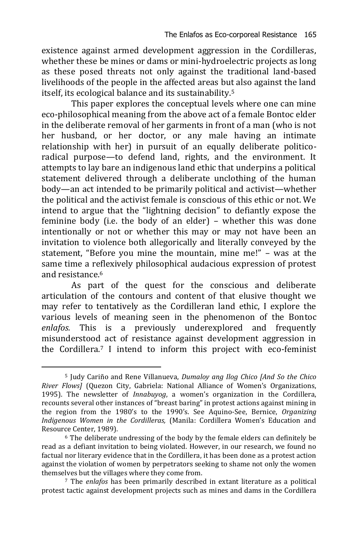existence against armed development aggression in the Cordilleras, whether these be mines or dams or mini-hydroelectric projects as long as these posed threats not only against the traditional land-based livelihoods of the people in the affected areas but also against the land itself, its ecological balance and its sustainability.<sup>5</sup>

This paper explores the conceptual levels where one can mine eco-philosophical meaning from the above act of a female Bontoc elder in the deliberate removal of her garments in front of a man (who is not her husband, or her doctor, or any male having an intimate relationship with her) in pursuit of an equally deliberate politicoradical purpose—to defend land, rights, and the environment. It attempts to lay bare an indigenous land ethic that underpins a political statement delivered through a deliberate unclothing of the human body—an act intended to be primarily political and activist—whether the political and the activist female is conscious of this ethic or not. We intend to argue that the "lightning decision" to defiantly expose the feminine body (i.e. the body of an elder) – whether this was done intentionally or not or whether this may or may not have been an invitation to violence both allegorically and literally conveyed by the statement, "Before you mine the mountain, mine me!" – was at the same time a reflexively philosophical audacious expression of protest and resistance.<sup>6</sup>

As part of the quest for the conscious and deliberate articulation of the contours and content of that elusive thought we may refer to tentatively as the Cordilleran land ethic, I explore the various levels of meaning seen in the phenomenon of the Bontoc *enlafos.* This is a previously underexplored and frequently misunderstood act of resistance against development aggression in the Cordillera.<sup>7</sup> I intend to inform this project with eco-feminist

<sup>5</sup> Judy Cariño and Rene Villanueva, *Dumaloy ang Ilog Chico [And So the Chico River Flows]* (Quezon City, Gabriela: National Alliance of Women's Organizations, 1995). The newsletter of *Innabuyog*, a women's organization in the Cordillera, recounts several other instances of "breast baring" in protest actions against mining in the region from the 1980's to the 1990's. See Aquino-See, Bernice, *Organizing Indigenous Women in the Cordilleras,* (Manila: Cordillera Women's Education and Resource Center, 1989).

<sup>6</sup> The deliberate undressing of the body by the female elders can definitely be read as a defiant invitation to being violated. However, in our research, we found no factual nor literary evidence that in the Cordillera, it has been done as a protest action against the violation of women by perpetrators seeking to shame not only the women themselves but the villages where they come from.

<sup>7</sup> The *enlafos* has been primarily described in extant literature as a political protest tactic against development projects such as mines and dams in the Cordillera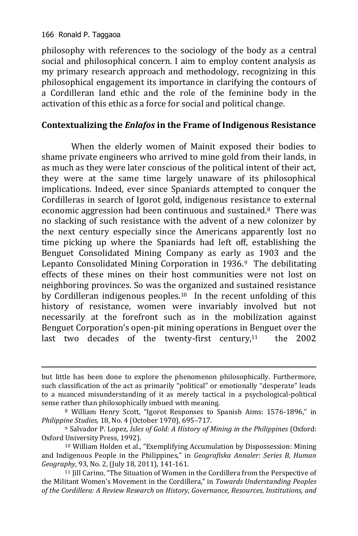-

philosophy with references to the sociology of the body as a central social and philosophical concern. I aim to employ content analysis as my primary research approach and methodology, recognizing in this philosophical engagement its importance in clarifying the contours of a Cordilleran land ethic and the role of the feminine body in the activation of this ethic as a force for social and political change.

#### **Contextualizing the** *Enlafos* **in the Frame of Indigenous Resistance**

When the elderly women of Mainit exposed their bodies to shame private engineers who arrived to mine gold from their lands, in as much as they were later conscious of the political intent of their act, they were at the same time largely unaware of its philosophical implications. Indeed, ever since Spaniards attempted to conquer the Cordilleras in search of Igorot gold, indigenous resistance to external economic aggression had been continuous and sustained.8 There was no slacking of such resistance with the advent of a new colonizer by the next century especially since the Americans apparently lost no time picking up where the Spaniards had left off, establishing the Benguet Consolidated Mining Company as early as 1903 and the Lepanto Consolidated Mining Corporation in 1936.<sup>9</sup> The debilitating effects of these mines on their host communities were not lost on neighboring provinces. So was the organized and sustained resistance by Cordilleran indigenous peoples.<sup>10</sup> In the recent unfolding of this history of resistance, women were invariably involved but not necessarily at the forefront such as in the mobilization against Benguet Corporation's open-pit mining operations in Benguet over the last two decades of the twenty-first century, $11$  the 2002

but little has been done to explore the phenomenon philosophically. Furthermore, such classification of the act as primarily "political" or emotionally "desperate" leads to a nuanced misunderstanding of it as merely tactical in a psychological-political sense rather than philosophically imbued with meaning.

<sup>8</sup> William Henry Scott, "Igorot Responses to Spanish Aims: 1576-1896," in *Philippine Studies,* 18, No. 4 (October 1970), 695–717.

<sup>9</sup> Salvador P. Lopez, *Isles of Gold: A History of Mining in the Philippines* (Oxford: Oxford University Press, 1992).

<sup>10</sup> William Holden et al., "Exemplifying Accumulation by Dispossession: Mining and Indigenous People in the Philippines," in *Geografiska Annaler: Series B, Human Geography*, 93, No. 2, (July 18, 2011), 141-161.

<sup>&</sup>lt;sup>11</sup> Jill Carino, "The Situation of Women in the Cordillera from the Perspective of the Militant Women's Movement in the Cordillera," in *Towards Understanding Peoples of the Cordillera: A Review Research on History, Governance, Resources, Institutions, and*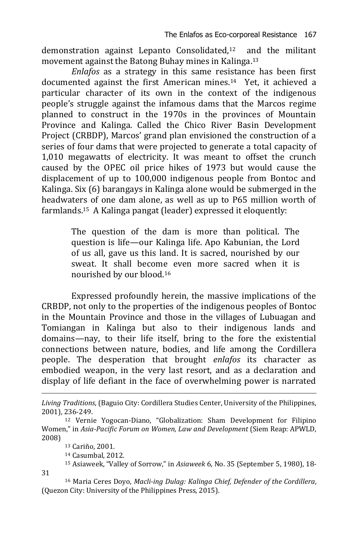demonstration against Lepanto Consolidated,12 and the militant movement against the Batong Buhay mines in Kalinga. 13

*Enlafos* as a strategy in this same resistance has been first documented against the first American mines.14 Yet, it achieved a particular character of its own in the context of the indigenous people's struggle against the infamous dams that the Marcos regime planned to construct in the 1970s in the provinces of Mountain Province and Kalinga. Called the Chico River Basin Development Project (CRBDP), Marcos' grand plan envisioned the construction of a series of four dams that were projected to generate a total capacity of 1,010 megawatts of electricity. It was meant to offset the crunch caused by the OPEC oil price hikes of 1973 but would cause the displacement of up to 100,000 indigenous people from Bontoc and Kalinga. Six (6) barangays in Kalinga alone would be submerged in the headwaters of one dam alone, as well as up to P65 million worth of farmlands.15 A Kalinga pangat (leader) expressed it eloquently:

> The question of the dam is more than political. The question is life—our Kalinga life. Apo Kabunian, the Lord of us all, gave us this land. It is sacred, nourished by our sweat. It shall become even more sacred when it is nourished by our blood.<sup>16</sup>

Expressed profoundly herein, the massive implications of the CRBDP, not only to the properties of the indigenous peoples of Bontoc in the Mountain Province and those in the villages of Lubuagan and Tomiangan in Kalinga but also to their indigenous lands and domains—nay, to their life itself, bring to the fore the existential connections between nature, bodies, and life among the Cordillera people. The desperation that brought *enlafos* its character as embodied weapon, in the very last resort, and as a declaration and display of life defiant in the face of overwhelming power is narrated

<sup>13</sup> Cariño, 2001.

<sup>14</sup> Casumbal, 2012.

<sup>15</sup> Asiaweek, "Valley of Sorrow," in *Asiaweek* 6, No. 35 (September 5, 1980), 18-

31

-

<sup>16</sup> Maria Ceres Doyo, *Macli-ing Dulag: Kalinga Chief, Defender of the Cordillera*, (Quezon City: University of the Philippines Press, 2015).

*Living Traditions*, (Baguio City: Cordillera Studies Center, University of the Philippines, 2001), 236-249.

<sup>12</sup> Vernie Yogocan-Diano, "Globalization: Sham Development for Filipino Women," in *Asia-Pacific Forum on Women, Law and Development* (Siem Reap: APWLD, 2008)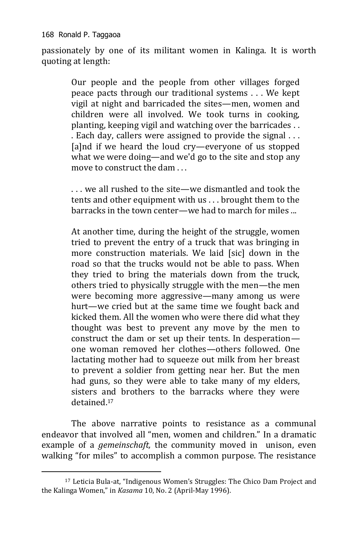168 Ronald P. Taggaoa

-

passionately by one of its militant women in Kalinga. It is worth quoting at length:

> Our people and the people from other villages forged peace pacts through our traditional systems . . . We kept vigil at night and barricaded the sites—men, women and children were all involved. We took turns in cooking, planting, keeping vigil and watching over the barricades . . . Each day, callers were assigned to provide the signal . . . [a]nd if we heard the loud cry—everyone of us stopped what we were doing—and we'd go to the site and stop any move to construct the dam . . .

> . . . we all rushed to the site—we dismantled and took the tents and other equipment with us . . . brought them to the barracks in the town center—we had to march for miles ...

> At another time, during the height of the struggle, women tried to prevent the entry of a truck that was bringing in more construction materials. We laid [sic] down in the road so that the trucks would not be able to pass. When they tried to bring the materials down from the truck, others tried to physically struggle with the men—the men were becoming more aggressive—many among us were hurt—we cried but at the same time we fought back and kicked them. All the women who were there did what they thought was best to prevent any move by the men to construct the dam or set up their tents. In desperation one woman removed her clothes—others followed. One lactating mother had to squeeze out milk from her breast to prevent a soldier from getting near her. But the men had guns, so they were able to take many of my elders, sisters and brothers to the barracks where they were detained.<sup>17</sup>

The above narrative points to resistance as a communal endeavor that involved all "men, women and children." In a dramatic example of a *gemeinschaft,* the community moved in unison, even walking "for miles" to accomplish a common purpose. The resistance

<sup>17</sup> Leticia Bula-at, "Indigenous Women's Struggles: The Chico Dam Project and the Kalinga Women," in *Kasama* 10, No. 2 (April-May 1996).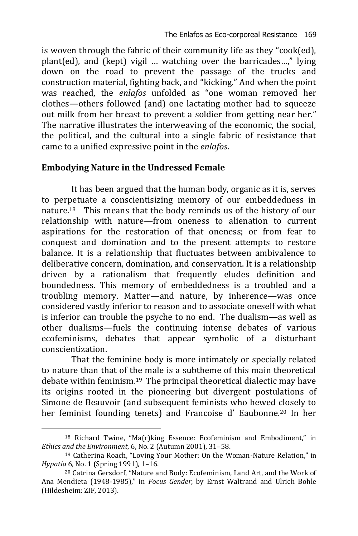is woven through the fabric of their community life as they "cook(ed), plant(ed), and (kept) vigil … watching over the barricades…," lying down on the road to prevent the passage of the trucks and construction material, fighting back, and "kicking." And when the point was reached, the *enlafos* unfolded as "one woman removed her clothes—others followed (and) one lactating mother had to squeeze out milk from her breast to prevent a soldier from getting near her." The narrative illustrates the interweaving of the economic, the social, the political, and the cultural into a single fabric of resistance that came to a unified expressive point in the *enlafos*.

#### **Embodying Nature in the Undressed Female**

It has been argued that the human body, organic as it is, serves to perpetuate a conscientisizing memory of our embeddedness in nature.18 This means that the body reminds us of the history of our relationship with nature—from oneness to alienation to current aspirations for the restoration of that oneness; or from fear to conquest and domination and to the present attempts to restore balance. It is a relationship that fluctuates between ambivalence to deliberative concern, domination, and conservation. It is a relationship driven by a rationalism that frequently eludes definition and boundedness. This memory of embeddedness is a troubled and a troubling memory. Matter—and nature, by inherence—was once considered vastly inferior to reason and to associate oneself with what is inferior can trouble the psyche to no end. The dualism—as well as other dualisms—fuels the continuing intense debates of various ecofeminisms, debates that appear symbolic of a disturbant conscientization.

That the feminine body is more intimately or specially related to nature than that of the male is a subtheme of this main theoretical debate within feminism.19 The principal theoretical dialectic may have its origins rooted in the pioneering but divergent postulations of Simone de Beauvoir (and subsequent feminists who hewed closely to her feminist founding tenets) and Francoise d' Eaubonne.<sup>20</sup> In her

<sup>18</sup> Richard Twine, "Ma(r)king Essence: Ecofeminism and Embodiment," in *Ethics and the Environment*, 6, No. 2 (Autumn 2001), 31–58.

<sup>19</sup> Catherina Roach, "Loving Your Mother: On the Woman-Nature Relation," in *Hypatia* 6, No. 1 (Spring 1991), 1–16.

<sup>20</sup> Catrina Gersdorf, "Nature and Body: Ecofeminism, Land Art, and the Work of Ana Mendieta (1948-1985)," in *Focus Gender*, by Ernst Waltrand and Ulrich Bohle (Hildesheim: ZIF, 2013).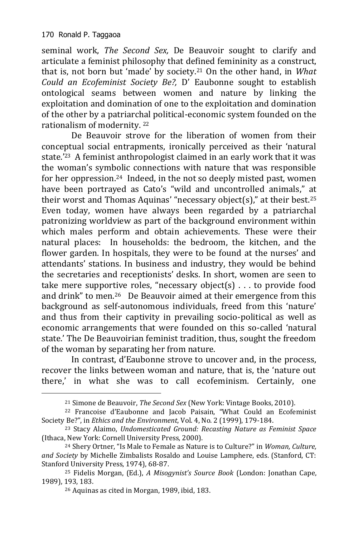-

seminal work, *The Second Sex,* De Beauvoir sought to clarify and articulate a feminist philosophy that defined femininity as a construct, that is, not born but 'made' by society.<sup>21</sup> On the other hand, in *What Could an Ecofeminist Society Be?,* D' Eaubonne sought to establish ontological seams between women and nature by linking the exploitation and domination of one to the exploitation and domination of the other by a patriarchal political-economic system founded on the rationalism of modernity. <sup>22</sup>

De Beauvoir strove for the liberation of women from their conceptual social entrapments, ironically perceived as their 'natural state.'23 A feminist anthropologist claimed in an early work that it was the woman's symbolic connections with nature that was responsible for her oppression.24 Indeed, in the not so deeply misted past, women have been portrayed as Cato's "wild and uncontrolled animals," at their worst and Thomas Aquinas' "necessary object(s)," at their best.<sup>25</sup> Even today, women have always been regarded by a patriarchal patronizing worldview as part of the background environment within which males perform and obtain achievements. These were their natural places: In households: the bedroom, the kitchen, and the flower garden. In hospitals, they were to be found at the nurses' and attendants' stations. In business and industry, they would be behind the secretaries and receptionists' desks. In short, women are seen to take mere supportive roles, "necessary object(s) . . . to provide food and drink" to men.26 De Beauvoir aimed at their emergence from this background as self-autonomous individuals, freed from this 'nature' and thus from their captivity in prevailing socio-political as well as economic arrangements that were founded on this so-called 'natural state.' The De Beauvoirian feminist tradition, thus, sought the freedom of the woman by separating her from nature.

In contrast, d'Eaubonne strove to uncover and, in the process, recover the links between woman and nature, that is, the 'nature out there,' in what she was to call ecofeminism. Certainly, one

<sup>21</sup> Simone de Beauvoir, *The Second Sex* (New York: Vintage Books, 2010).

<sup>22</sup> Francoise d'Eaubonne and Jacob Paisain, "What Could an Ecofeminist Society Be?", in *Ethics and the Environment*, Vol. 4, No. 2 (1999), 179-184.

<sup>23</sup> Stacy Alaimo, *Undomesticated Ground: Recasting Nature as Feminist Space* (Ithaca, New York: Cornell University Press, 2000).

<sup>24</sup> Shery Ortner, "Is Male to Female as Nature is to Culture?" in *Woman, Culture, and Society* by Michelle Zimbalists Rosaldo and Louise Lamphere, eds. (Stanford, CT: Stanford University Press, 1974), 68-87.

<sup>25</sup> Fidelis Morgan, (Ed.), *A Misogynist's Source Book* (London: Jonathan Cape, 1989), 193, 183.

<sup>26</sup> Aquinas as cited in Morgan, 1989, ibid, 183.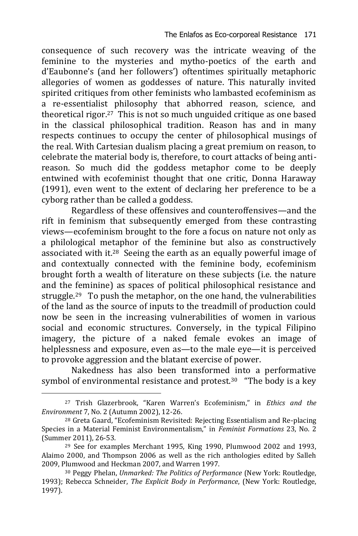consequence of such recovery was the intricate weaving of the feminine to the mysteries and mytho-poetics of the earth and d'Eaubonne's (and her followers') oftentimes spiritually metaphoric allegories of women as goddesses of nature. This naturally invited spirited critiques from other feminists who lambasted ecofeminism as a re-essentialist philosophy that abhorred reason, science, and theoretical rigor.27 This is not so much unguided critique as one based in the classical philosophical tradition. Reason has and in many respects continues to occupy the center of philosophical musings of the real. With Cartesian dualism placing a great premium on reason, to celebrate the material body is, therefore, to court attacks of being antireason. So much did the goddess metaphor come to be deeply entwined with ecofeminist thought that one critic, Donna Haraway (1991), even went to the extent of declaring her preference to be a cyborg rather than be called a goddess.

Regardless of these offensives and counteroffensives—and the rift in feminism that subsequently emerged from these contrasting views—ecofeminism brought to the fore a focus on nature not only as a philological metaphor of the feminine but also as constructively associated with it.28 Seeing the earth as an equally powerful image of and contextually connected with the feminine body, ecofeminism brought forth a wealth of literature on these subjects (i.e. the nature and the feminine) as spaces of political philosophical resistance and struggle.29 To push the metaphor, on the one hand, the vulnerabilities of the land as the source of inputs to the treadmill of production could now be seen in the increasing vulnerabilities of women in various social and economic structures. Conversely, in the typical Filipino imagery, the picture of a naked female evokes an image of helplessness and exposure, even as—to the male eye—it is perceived to provoke aggression and the blatant exercise of power.

Nakedness has also been transformed into a performative symbol of environmental resistance and protest.<sup>30</sup> "The body is a key

<sup>-</sup><sup>27</sup> Trish Glazerbrook, "Karen Warren's Ecofeminism," in *Ethics and the Environment* 7, No. 2 (Autumn 2002), 12-26.

<sup>28</sup> Greta Gaard, "Ecofeminism Revisited: Rejecting Essentialism and Re-placing Species in a Material Feminist Environmentalism," in *Feminist Formations* 23, No. 2 (Summer 2011), 26-53.

<sup>29</sup> See for examples Merchant 1995, King 1990, Plumwood 2002 and 1993, Alaimo 2000, and Thompson 2006 as well as the rich anthologies edited by Salleh 2009, Plumwood and Heckman 2007, and Warren 1997.

<sup>30</sup> Peggy Phelan, *Unmarked: The Politics of Performance* (New York: Routledge, 1993); Rebecca Schneider, *The Explicit Body in Performance*, (New York: Routledge, 1997).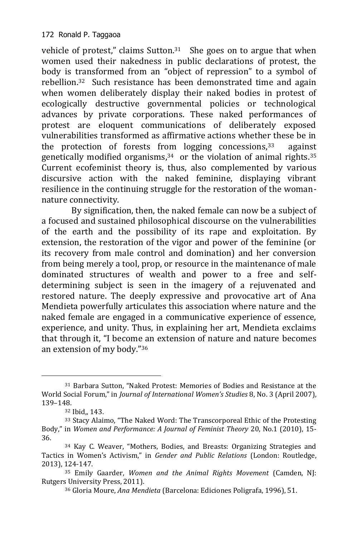vehicle of protest," claims Sutton.31 She goes on to argue that when women used their nakedness in public declarations of protest, the body is transformed from an "object of repression" to a symbol of rebellion.32 Such resistance has been demonstrated time and again when women deliberately display their naked bodies in protest of ecologically destructive governmental policies or technological advances by private corporations. These naked performances of protest are eloquent communications of deliberately exposed vulnerabilities transformed as affirmative actions whether these be in the protection of forests from  $logging$  concessions,  $33$  against genetically modified organisms, $34$  or the violation of animal rights. $35$ Current ecofeminist theory is, thus, also complemented by various discursive action with the naked feminine, displaying vibrant resilience in the continuing struggle for the restoration of the womannature connectivity.

By signification, then, the naked female can now be a subject of a focused and sustained philosophical discourse on the vulnerabilities of the earth and the possibility of its rape and exploitation. By extension, the restoration of the vigor and power of the feminine (or its recovery from male control and domination) and her conversion from being merely a tool, prop, or resource in the maintenance of male dominated structures of wealth and power to a free and selfdetermining subject is seen in the imagery of a rejuvenated and restored nature. The deeply expressive and provocative art of Ana Mendieta powerfully articulates this association where nature and the naked female are engaged in a communicative experience of essence, experience, and unity. Thus, in explaining her art, Mendieta exclaims that through it, "I become an extension of nature and nature becomes an extension of my body."<sup>36</sup>

<sup>31</sup> Barbara Sutton, "Naked Protest: Memories of Bodies and Resistance at the World Social Forum," in *Journal of International Women's Studies* 8, No. 3 (April 2007), 139–148.

<sup>32</sup> Ibid,, 143.

<sup>33</sup> Stacy Alaimo, "The Naked Word: The Transcorporeal Ethic of the Protesting Body," in *Women and Performance: A Journal of Feminist Theory* 20, No.1 (2010), 15- 36.

<sup>34</sup> Kay C. Weaver, "Mothers, Bodies, and Breasts: Organizing Strategies and Tactics in Women's Activism," in *Gender and Public Relations* (London: Routledge, 2013), 124-147.

<sup>35</sup> Emily Gaarder, *Women and the Animal Rights Movement* (Camden, NJ: Rutgers University Press, 2011).

<sup>36</sup> Gloria Moure, *Ana Mendieta* (Barcelona: Ediciones Poligrafa, 1996), 51.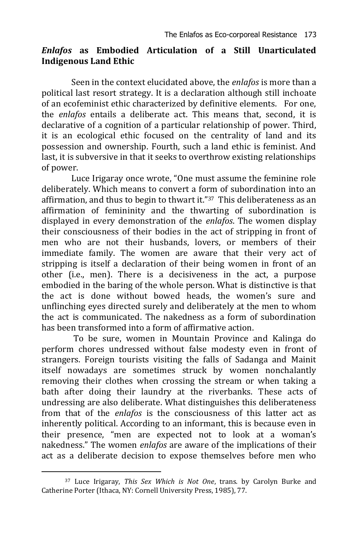#### *Enlafos* **as Embodied Articulation of a Still Unarticulated Indigenous Land Ethic**

Seen in the context elucidated above, the *enlafos* is more than a political last resort strategy. It is a declaration although still inchoate of an ecofeminist ethic characterized by definitive elements. For one, the *enlafos* entails a deliberate act. This means that, second, it is declarative of a cognition of a particular relationship of power. Third, it is an ecological ethic focused on the centrality of land and its possession and ownership. Fourth, such a land ethic is feminist. And last, it is subversive in that it seeks to overthrow existing relationships of power.

Luce Irigaray once wrote, "One must assume the feminine role deliberately. Which means to convert a form of subordination into an affirmation, and thus to begin to thwart it."37 This deliberateness as an affirmation of femininity and the thwarting of subordination is displayed in every demonstration of the *enlafos*. The women display their consciousness of their bodies in the act of stripping in front of men who are not their husbands, lovers, or members of their immediate family. The women are aware that their very act of stripping is itself a declaration of their being women in front of an other (i.e., men). There is a decisiveness in the act, a purpose embodied in the baring of the whole person. What is distinctive is that the act is done without bowed heads, the women's sure and unflinching eyes directed surely and deliberately at the men to whom the act is communicated. The nakedness as a form of subordination has been transformed into a form of affirmative action.

To be sure, women in Mountain Province and Kalinga do perform chores undressed without false modesty even in front of strangers. Foreign tourists visiting the falls of Sadanga and Mainit itself nowadays are sometimes struck by women nonchalantly removing their clothes when crossing the stream or when taking a bath after doing their laundry at the riverbanks. These acts of undressing are also deliberate. What distinguishes this deliberateness from that of the *enlafos* is the consciousness of this latter act as inherently political. According to an informant, this is because even in their presence, "men are expected not to look at a woman's nakedness." The women *enlafos* are aware of the implications of their act as a deliberate decision to expose themselves before men who

<sup>37</sup> Luce Irigaray, *This Sex Which is Not One*, trans. by Carolyn Burke and Catherine Porter (Ithaca, NY: Cornell University Press, 1985), 77.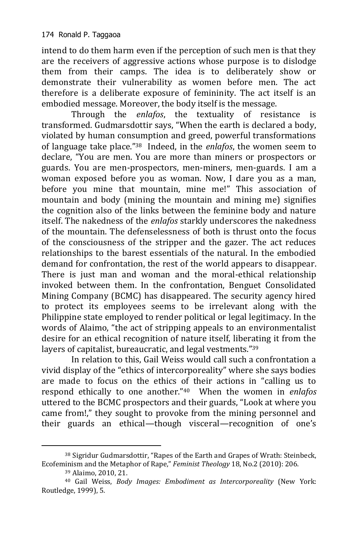intend to do them harm even if the perception of such men is that they are the receivers of aggressive actions whose purpose is to dislodge them from their camps. The idea is to deliberately show or demonstrate their vulnerability as women before men. The act therefore is a deliberate exposure of femininity. The act itself is an embodied message. Moreover, the body itself is the message.

Through the *enlafos*, the textuality of resistance is transformed. Gudmarsdottir says, "When the earth is declared a body, violated by human consumption and greed, powerful transformations of language take place."<sup>38</sup> Indeed, in the *enlafos*, the women seem to declare, "You are men. You are more than miners or prospectors or guards. You are men-prospectors, men-miners, men-guards. I am a woman exposed before you as woman. Now, I dare you as a man, before you mine that mountain, mine me!" This association of mountain and body (mining the mountain and mining me) signifies the cognition also of the links between the feminine body and nature itself. The nakedness of the *enlafos* starkly underscores the nakedness of the mountain. The defenselessness of both is thrust onto the focus of the consciousness of the stripper and the gazer. The act reduces relationships to the barest essentials of the natural. In the embodied demand for confrontation, the rest of the world appears to disappear. There is just man and woman and the moral-ethical relationship invoked between them. In the confrontation, Benguet Consolidated Mining Company (BCMC) has disappeared. The security agency hired to protect its employees seems to be irrelevant along with the Philippine state employed to render political or legal legitimacy. In the words of Alaimo, "the act of stripping appeals to an environmentalist desire for an ethical recognition of nature itself, liberating it from the layers of capitalist, bureaucratic, and legal vestments."<sup>39</sup>

In relation to this, Gail Weiss would call such a confrontation a vivid display of the "ethics of intercorporeality" where she says bodies are made to focus on the ethics of their actions in "calling us to respond ethically to one another."40 When the women in *enlafos* uttered to the BCMC prospectors and their guards, "Look at where you came from!," they sought to provoke from the mining personnel and their guards an ethical—though visceral—recognition of one's

<sup>38</sup> Sigridur Gudmarsdottir, "Rapes of the Earth and Grapes of Wrath: Steinbeck, Ecofeminism and the Metaphor of Rape," *Feminist Theology* 18, No.2 (2010): 206.

<sup>39</sup> Alaimo, 2010, 21.

<sup>40</sup> Gail Weiss, *Body Images: Embodiment as Intercorporeality* (New York: Routledge, 1999), 5.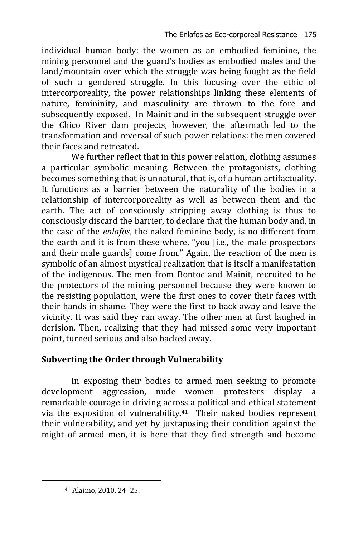individual human body: the women as an embodied feminine, the mining personnel and the guard's bodies as embodied males and the land/mountain over which the struggle was being fought as the field of such a gendered struggle. In this focusing over the ethic of intercorporeality, the power relationships linking these elements of nature, femininity, and masculinity are thrown to the fore and subsequently exposed. In Mainit and in the subsequent struggle over the Chico River dam projects, however, the aftermath led to the transformation and reversal of such power relations: the men covered their faces and retreated.

We further reflect that in this power relation, clothing assumes a particular symbolic meaning. Between the protagonists, clothing becomes something that is unnatural, that is, of a human artifactuality. It functions as a barrier between the naturality of the bodies in a relationship of intercorporeality as well as between them and the earth. The act of consciously stripping away clothing is thus to consciously discard the barrier, to declare that the human body and, in the case of the *enlafos*, the naked feminine body, is no different from the earth and it is from these where, "you [i.e., the male prospectors and their male guards] come from." Again, the reaction of the men is symbolic of an almost mystical realization that is itself a manifestation of the indigenous. The men from Bontoc and Mainit, recruited to be the protectors of the mining personnel because they were known to the resisting population, were the first ones to cover their faces with their hands in shame. They were the first to back away and leave the vicinity. It was said they ran away. The other men at first laughed in derision. Then, realizing that they had missed some very important point, turned serious and also backed away.

# **Subverting the Order through Vulnerability**

In exposing their bodies to armed men seeking to promote development aggression, nude women protesters display a remarkable courage in driving across a political and ethical statement via the exposition of vulnerability.41 Their naked bodies represent their vulnerability, and yet by juxtaposing their condition against the might of armed men, it is here that they find strength and become

<sup>41</sup> Alaimo, 2010, 24–25.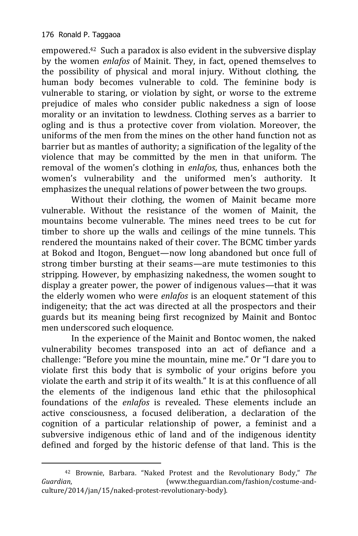-

empowered.42 Such a paradox is also evident in the subversive display by the women *enlafos* of Mainit. They, in fact, opened themselves to the possibility of physical and moral injury. Without clothing, the human body becomes vulnerable to cold. The feminine body is vulnerable to staring, or violation by sight, or worse to the extreme prejudice of males who consider public nakedness a sign of loose morality or an invitation to lewdness. Clothing serves as a barrier to ogling and is thus a protective cover from violation. Moreover, the uniforms of the men from the mines on the other hand function not as barrier but as mantles of authority; a signification of the legality of the violence that may be committed by the men in that uniform. The removal of the women's clothing in *enlafos*, thus, enhances both the women's vulnerability and the uniformed men's authority. It emphasizes the unequal relations of power between the two groups.

Without their clothing, the women of Mainit became more vulnerable. Without the resistance of the women of Mainit, the mountains become vulnerable. The mines need trees to be cut for timber to shore up the walls and ceilings of the mine tunnels. This rendered the mountains naked of their cover. The BCMC timber yards at Bokod and Itogon, Benguet—now long abandoned but once full of strong timber bursting at their seams—are mute testimonies to this stripping. However, by emphasizing nakedness, the women sought to display a greater power, the power of indigenous values—that it was the elderly women who were *enlafos* is an eloquent statement of this indigeneity; that the act was directed at all the prospectors and their guards but its meaning being first recognized by Mainit and Bontoc men underscored such eloquence.

In the experience of the Mainit and Bontoc women, the naked vulnerability becomes transposed into an act of defiance and a challenge: "Before you mine the mountain, mine me." Or "I dare you to violate first this body that is symbolic of your origins before you violate the earth and strip it of its wealth." It is at this confluence of all the elements of the indigenous land ethic that the philosophical foundations of the *enlafos* is revealed. These elements include an active consciousness, a focused deliberation, a declaration of the cognition of a particular relationship of power, a feminist and a subversive indigenous ethic of land and of the indigenous identity defined and forged by the historic defense of that land. This is the

<sup>42</sup> Brownie, Barbara. "Naked Protest and the Revolutionary Body," *The Guardian*, (www.theguardian.com/fashion/costume-andculture/2014/jan/15/naked-protest-revolutionary-body).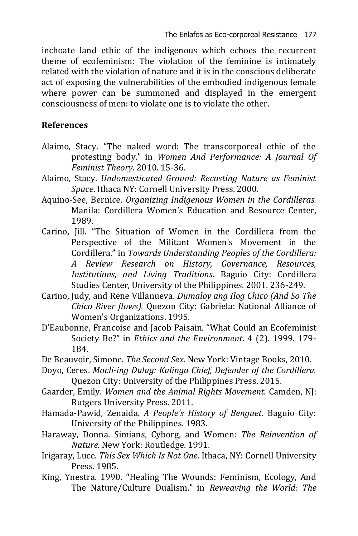inchoate land ethic of the indigenous which echoes the recurrent theme of ecofeminism: The violation of the feminine is intimately related with the violation of nature and it is in the conscious deliberate act of exposing the vulnerabilities of the embodied indigenous female where power can be summoned and displayed in the emergent consciousness of men: to violate one is to violate the other.

## **References**

- Alaimo, Stacy. "The naked word: The transcorporeal ethic of the protesting body." in *Women And Performance: A Journal Of Feminist Theory*. 2010. 15-36.
- Alaimo, Stacy. *Undomesticated Ground: Recasting Nature as Feminist Space*. Ithaca NY: Cornell University Press. 2000.
- Aquino-See, Bernice. *Organizing Indigenous Women in the Cordilleras.*  Manila: Cordillera Women's Education and Resource Center, 1989.
- Carino, Jill. "The Situation of Women in the Cordillera from the Perspective of the Militant Women's Movement in the Cordillera." in *Towards Understanding Peoples of the Cordillera: A Review Research on History, Governance, Resources, Institutions, and Living Traditions*. Baguio City: Cordillera Studies Center, University of the Philippines. 2001. 236-249.
- Carino, Judy, and Rene Villanueva. *Dumaloy ang Ilog Chico (And So The Chico River flows).* Quezon City: Gabriela: National Alliance of Women's Organizations. 1995.
- D'Eaubonne, Francoise and Jacob Paisain. "What Could an Ecofeminist Society Be?" in *Ethics and the Environment*. 4 (2). 1999. 179- 184.
- De Beauvoir, Simone. *The Second Sex*. New York: Vintage Books, 2010.
- Doyo, Ceres. *Macli-ing Dulag: Kalinga Chief, Defender of the Cordillera.*  Quezon City: University of the Philippines Press. 2015.
- Gaarder, Emily. *Women and the Animal Rights Movement.* Camden, NJ: Rutgers University Press. 2011.
- Hamada-Pawid, Zenaida. *A People's History of Benguet*. Baguio City: University of the Philippines. 1983.
- Haraway, Donna. Simians, Cyborg, and Women: *The Reinvention of Nature.* New York: Routledge. 1991.
- Irigaray, Luce. *This Sex Which Is Not One*. Ithaca, NY: Cornell University Press. 1985.
- King, Ynestra. 1990. "Healing The Wounds: Feminism, Ecology, And The Nature/Culture Dualism." in *Reweaving the World: The*